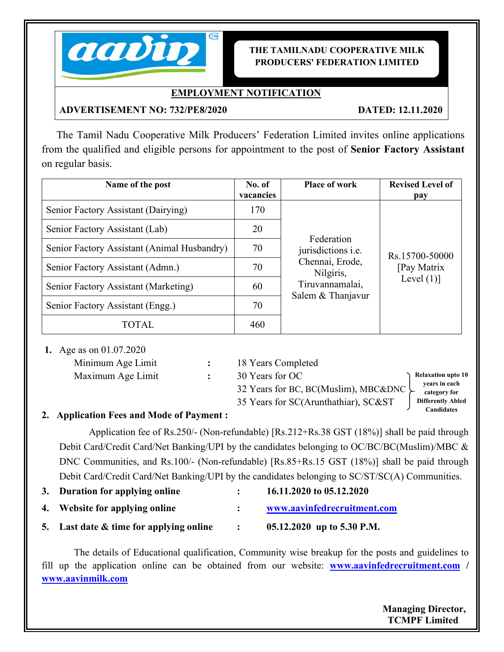

## **THE TAMILNADU COOPERATIVE MILK PRODUCERS' FEDERATION LIMITED**

# **EMPLOYMENT NOTIFICATION**

## **ADVERTISEMENT NO: 732/PE8/2020 DATED: 12.11.2020**

The Tamil Nadu Cooperative Milk Producers' Federation Limited invites online applications from the qualified and eligible persons for appointment to the post of **Senior Factory Assistant** on regular basis.

| Name of the post                            | No. of<br>vacancies | <b>Place of work</b>                                                                                                                               | <b>Revised Level of</b><br>pay |  |
|---------------------------------------------|---------------------|----------------------------------------------------------------------------------------------------------------------------------------------------|--------------------------------|--|
| Senior Factory Assistant (Dairying)         | 170                 |                                                                                                                                                    |                                |  |
| Senior Factory Assistant (Lab)              | 20                  |                                                                                                                                                    |                                |  |
| Senior Factory Assistant (Animal Husbandry) | 70                  | Federation<br>jurisdictions <i>i.e.</i><br>Rs.15700-50000<br>Chennai, Erode,<br>Nilgiris,<br>Level $(1)$ ]<br>Tiruvannamalai,<br>Salem & Thanjavur |                                |  |
| Senior Factory Assistant (Admn.)            | 70                  |                                                                                                                                                    | [Pay Matrix                    |  |
| Senior Factory Assistant (Marketing)        | 60                  |                                                                                                                                                    |                                |  |
| Senior Factory Assistant (Engg.)            | 70                  |                                                                                                                                                    |                                |  |
| TOTAL                                       | 460                 |                                                                                                                                                    |                                |  |

**1.** Age as on 01.07.2020

| Minimum Age Limit | 18 Years Completed |              |
|-------------------|--------------------|--------------|
| Maximum Age Limit | 30 Years for OC    | Rela         |
|                   |                    | $\mathbf{v}$ |

32 Years for BC, BC(Muslim), MBC&DNC

35 Years for SC(Arunthathiar), SC&ST

**Relaxation upto 10 years in each category for Differently Abled Candidates**

# **2. Application Fees and Mode of Payment :**

Application fee of Rs.250/- (Non-refundable) [Rs.212+Rs.38 GST (18%)] shall be paid through Debit Card/Credit Card/Net Banking/UPI by the candidates belonging to OC/BC/BC(Muslim)/MBC & DNC Communities, and Rs.100/- (Non-refundable) [Rs.85+Rs.15 GST (18%)] shall be paid through Debit Card/Credit Card/Net Banking/UPI by the candidates belonging to SC/ST/SC(A) Communities.

- **3. Duration for applying online : 16.11.2020 to 05.12.2020**
- **4. Website for applying online : www.aavinfedrecruitment.com**
- **5. Last date & time for applying online : 24 05.12.2020 up to5.30 P.M.**

The details of Educational qualification, Community wise breakup for the posts and guidelines to fill up the application online can be obtained from our website: **www.aavinfedrecruitment.com / www.aavinmilk.com**

> **Managing Director, TCMPF Limited**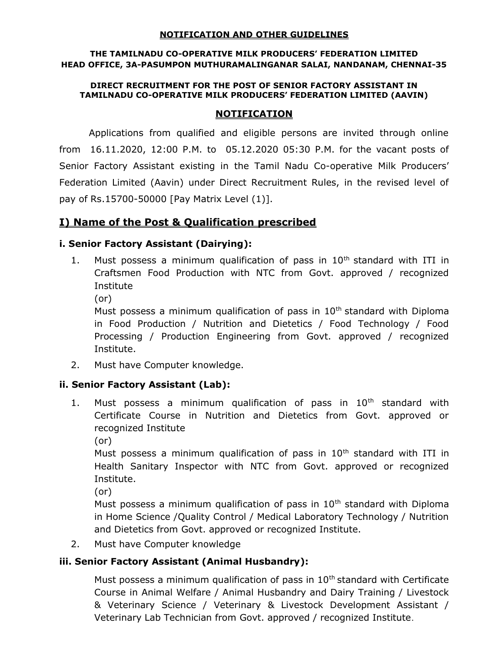#### NOTIFICATION AND OTHER GUIDELINES

#### THE TAMILNADU CO-OPERATIVE MILK PRODUCERS' FEDERATION LIMITED HEAD OFFICE, 3A-PASUMPON MUTHURAMALINGANAR SALAI, NANDANAM, CHENNAI-35

#### DIRECT RECRUITMENT FOR THE POST OF SENIOR FACTORY ASSISTANT IN TAMILNADU CO-OPERATIVE MILK PRODUCERS' FEDERATION LIMITED (AAVIN)

#### NOTIFICATION

 Applications from qualified and eligible persons are invited through online from 16.11.2020, 12:00 P.M. to 05.12.2020 05:30 P.M. for the vacant posts of Senior Factory Assistant existing in the Tamil Nadu Co-operative Milk Producers' Federation Limited (Aavin) under Direct Recruitment Rules, in the revised level of pay of Rs.15700-50000 [Pay Matrix Level (1)].

# I) Name of the Post & Qualification prescribed

## i. Senior Factory Assistant (Dairying):

- 1. Must possess a minimum qualification of pass in  $10<sup>th</sup>$  standard with ITI in Craftsmen Food Production with NTC from Govt. approved / recognized Institute
	- (or)

Must possess a minimum qualification of pass in  $10<sup>th</sup>$  standard with Diploma in Food Production / Nutrition and Dietetics / Food Technology / Food Processing / Production Engineering from Govt. approved / recognized Institute.

2. Must have Computer knowledge.

## ii. Senior Factory Assistant (Lab):

- 1. Must possess a minimum qualification of pass in  $10<sup>th</sup>$  standard with Certificate Course in Nutrition and Dietetics from Govt. approved or recognized Institute
	- (or)

Must possess a minimum qualification of pass in  $10<sup>th</sup>$  standard with ITI in Health Sanitary Inspector with NTC from Govt. approved or recognized Institute.

(or)

Must possess a minimum qualification of pass in  $10<sup>th</sup>$  standard with Diploma in Home Science /Quality Control / Medical Laboratory Technology / Nutrition and Dietetics from Govt. approved or recognized Institute.

2. Must have Computer knowledge

# iii. Senior Factory Assistant (Animal Husbandry):

Must possess a minimum qualification of pass in  $10<sup>th</sup>$  standard with Certificate Course in Animal Welfare / Animal Husbandry and Dairy Training / Livestock & Veterinary Science / Veterinary & Livestock Development Assistant / Veterinary Lab Technician from Govt. approved / recognized Institute.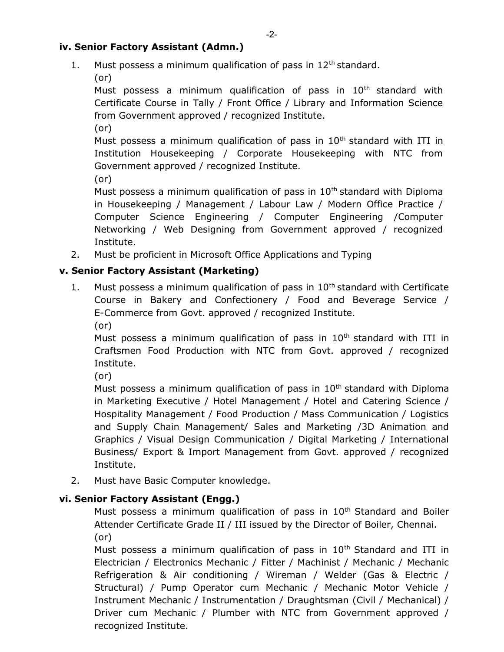## iv. Senior Factory Assistant (Admn.)

- 1. Must possess a minimum qualification of pass in  $12<sup>th</sup>$  standard.
	- (or)

Must possess a minimum qualification of pass in  $10<sup>th</sup>$  standard with Certificate Course in Tally / Front Office / Library and Information Science from Government approved / recognized Institute.

(or)

Must possess a minimum qualification of pass in  $10<sup>th</sup>$  standard with ITI in Institution Housekeeping / Corporate Housekeeping with NTC from Government approved / recognized Institute.

(or)

Must possess a minimum qualification of pass in  $10<sup>th</sup>$  standard with Diploma in Housekeeping / Management / Labour Law / Modern Office Practice / Computer Science Engineering / Computer Engineering /Computer Networking / Web Designing from Government approved / recognized Institute.

2. Must be proficient in Microsoft Office Applications and Typing

# v. Senior Factory Assistant (Marketing)

1. Must possess a minimum qualification of pass in  $10<sup>th</sup>$  standard with Certificate Course in Bakery and Confectionery / Food and Beverage Service / E-Commerce from Govt. approved / recognized Institute. (or)

Must possess a minimum qualification of pass in  $10<sup>th</sup>$  standard with ITI in Craftsmen Food Production with NTC from Govt. approved / recognized Institute.

(or)

Must possess a minimum qualification of pass in  $10<sup>th</sup>$  standard with Diploma in Marketing Executive / Hotel Management / Hotel and Catering Science / Hospitality Management / Food Production / Mass Communication / Logistics and Supply Chain Management/ Sales and Marketing /3D Animation and Graphics / Visual Design Communication / Digital Marketing / International Business/ Export & Import Management from Govt. approved / recognized Institute.

2. Must have Basic Computer knowledge.

# vi. Senior Factory Assistant (Engg.)

Must possess a minimum qualification of pass in 10<sup>th</sup> Standard and Boiler Attender Certificate Grade II / III issued by the Director of Boiler, Chennai. (or)

Must possess a minimum qualification of pass in  $10<sup>th</sup>$  Standard and ITI in Electrician / Electronics Mechanic / Fitter / Machinist / Mechanic / Mechanic Refrigeration & Air conditioning / Wireman / Welder (Gas & Electric / Structural) / Pump Operator cum Mechanic / Mechanic Motor Vehicle / Instrument Mechanic / Instrumentation / Draughtsman (Civil / Mechanical) / Driver cum Mechanic / Plumber with NTC from Government approved / recognized Institute.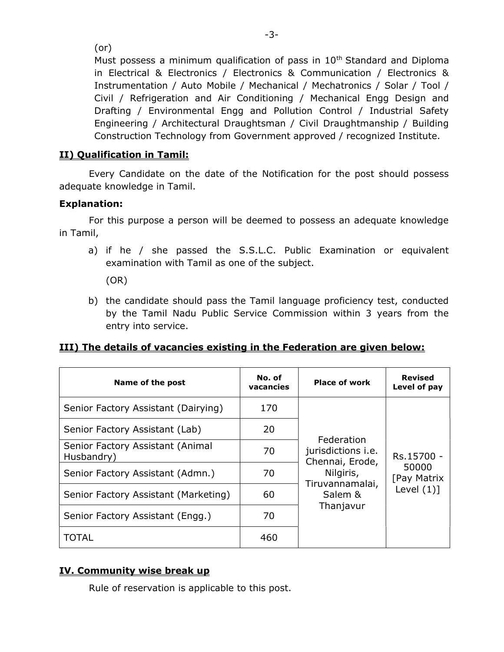(or)

Must possess a minimum qualification of pass in 10<sup>th</sup> Standard and Diploma in Electrical & Electronics / Electronics & Communication / Electronics & Instrumentation / Auto Mobile / Mechanical / Mechatronics / Solar / Tool / Civil / Refrigeration and Air Conditioning / Mechanical Engg Design and Drafting / Environmental Engg and Pollution Control / Industrial Safety Engineering / Architectural Draughtsman / Civil Draughtmanship / Building Construction Technology from Government approved / recognized Institute.

# II) Qualification in Tamil:

Every Candidate on the date of the Notification for the post should possess adequate knowledge in Tamil.

# Explanation:

For this purpose a person will be deemed to possess an adequate knowledge in Tamil,

a) if he / she passed the S.S.L.C. Public Examination or equivalent examination with Tamil as one of the subject.

(OR)

b) the candidate should pass the Tamil language proficiency test, conducted by the Tamil Nadu Public Service Commission within 3 years from the entry into service.

# III) The details of vacancies existing in the Federation are given below:

| Name of the post                               | No. of<br>vacancies | <b>Place of work</b>                         | <b>Revised</b><br>Level of pay     |  |
|------------------------------------------------|---------------------|----------------------------------------------|------------------------------------|--|
| Senior Factory Assistant (Dairying)            | 170                 |                                              |                                    |  |
| Senior Factory Assistant (Lab)                 | 20                  | Federation                                   |                                    |  |
| Senior Factory Assistant (Animal<br>Husbandry) | 70                  | jurisdictions <i>i.e.</i><br>Chennai, Erode, | Rs.15700 -<br>50000<br>[Pay Matrix |  |
| Senior Factory Assistant (Admn.)               | 70                  | Nilgiris,<br>Tiruvannamalai,                 |                                    |  |
| Senior Factory Assistant (Marketing)           | 60                  | Salem &                                      | Level $(1)]$                       |  |
| Senior Factory Assistant (Engg.)               | 70                  | Thanjavur                                    |                                    |  |
| TOTAL                                          | 460                 |                                              |                                    |  |

# IV. Community wise break up

Rule of reservation is applicable to this post.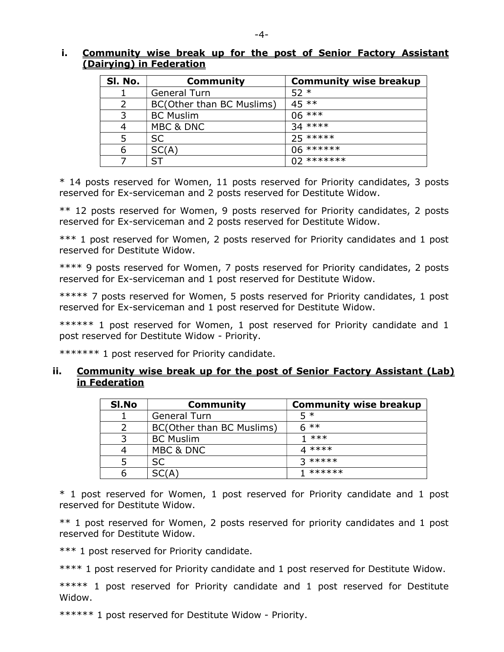#### i. Community wise break up for the post of Senior Factory Assistant (Dairying) in Federation

| SI. No. | <b>Community</b>          | <b>Community wise breakup</b> |
|---------|---------------------------|-------------------------------|
|         | <b>General Turn</b>       | $52*$                         |
|         | BC(Other than BC Muslims) | $45**$                        |
|         | <b>BC Muslim</b>          | $06***$                       |
|         | MBC & DNC                 | $34***$                       |
|         | <b>SC</b>                 | $25****$                      |
| 6       | SC(A)                     | 06 *******                    |
|         | ST                        | $02$ *******                  |

\* 14 posts reserved for Women, 11 posts reserved for Priority candidates, 3 posts reserved for Ex-serviceman and 2 posts reserved for Destitute Widow.

\*\* 12 posts reserved for Women, 9 posts reserved for Priority candidates, 2 posts reserved for Ex-serviceman and 2 posts reserved for Destitute Widow.

\*\*\* 1 post reserved for Women, 2 posts reserved for Priority candidates and 1 post reserved for Destitute Widow.

\*\*\*\* 9 posts reserved for Women, 7 posts reserved for Priority candidates, 2 posts reserved for Ex-serviceman and 1 post reserved for Destitute Widow.

\*\*\*\*\* 7 posts reserved for Women, 5 posts reserved for Priority candidates, 1 post reserved for Ex-serviceman and 1 post reserved for Destitute Widow.

\*\*\*\*\*\* 1 post reserved for Women, 1 post reserved for Priority candidate and 1 post reserved for Destitute Widow - Priority.

\*\*\*\*\*\*\* 1 post reserved for Priority candidate.

#### ii. Community wise break up for the post of Senior Factory Assistant (Lab) in Federation

| SI.No | <b>Community</b>          | <b>Community wise breakup</b> |
|-------|---------------------------|-------------------------------|
|       | <b>General Turn</b>       | 5 *                           |
|       | BC(Other than BC Muslims) | $6$ **                        |
|       | <b>BC</b> Muslim          | $1$ ***                       |
|       | MBC & DNC                 | $4****$                       |
|       | <b>SC</b>                 | $2$ *****                     |
|       | SC(A)                     | ******                        |

\* 1 post reserved for Women, 1 post reserved for Priority candidate and 1 post reserved for Destitute Widow.

\*\* 1 post reserved for Women, 2 posts reserved for priority candidates and 1 post reserved for Destitute Widow.

\*\*\* 1 post reserved for Priority candidate.

\*\*\*\* 1 post reserved for Priority candidate and 1 post reserved for Destitute Widow.

\*\*\*\*\* 1 post reserved for Priority candidate and 1 post reserved for Destitute Widow.

\*\*\*\*\*\* 1 post reserved for Destitute Widow - Priority.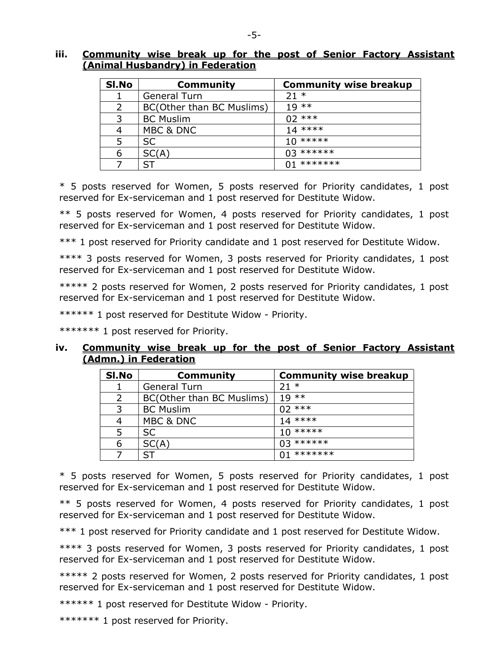#### iii. Community wise break up for the post of Senior Factory Assistant (Animal Husbandry) in Federation

| SI.No         | <b>Community</b>          | <b>Community wise breakup</b> |
|---------------|---------------------------|-------------------------------|
|               | General Turn              | $21 *$                        |
| $\mathcal{P}$ | BC(Other than BC Muslims) | $19**$                        |
| 3             | <b>BC Muslim</b>          | $02***$                       |
| 4             | MBC & DNC                 | $14***$                       |
| 5             | SC.                       | $10*****$                     |
| 6             | SC(A)                     | $03******$                    |
|               | SΤ                        | $(11*******)$                 |

\* 5 posts reserved for Women, 5 posts reserved for Priority candidates, 1 post reserved for Ex-serviceman and 1 post reserved for Destitute Widow.

\*\* 5 posts reserved for Women, 4 posts reserved for Priority candidates, 1 post reserved for Ex-serviceman and 1 post reserved for Destitute Widow.

\*\*\* 1 post reserved for Priority candidate and 1 post reserved for Destitute Widow.

\*\*\*\* 3 posts reserved for Women, 3 posts reserved for Priority candidates, 1 post reserved for Ex-serviceman and 1 post reserved for Destitute Widow.

\*\*\*\*\* 2 posts reserved for Women, 2 posts reserved for Priority candidates, 1 post reserved for Ex-serviceman and 1 post reserved for Destitute Widow.

\*\*\*\*\*\* 1 post reserved for Destitute Widow - Priority.

\*\*\*\*\*\*\* 1 post reserved for Priority.

#### iv. Community wise break up for the post of Senior Factory Assistant (Admn.) in Federation

| SI.No | <b>Community</b>          | <b>Community wise breakup</b> |
|-------|---------------------------|-------------------------------|
|       | <b>General Turn</b>       | $21 *$                        |
|       | BC(Other than BC Muslims) | $19 * *$                      |
|       | <b>BC Muslim</b>          | $02***$                       |
|       | MBC & DNC                 | $14***$                       |
|       | <b>SC</b>                 | $10*****$                     |
| 6     | SC(A)                     | $03******$                    |
|       |                           | $01*******$                   |

\* 5 posts reserved for Women, 5 posts reserved for Priority candidates, 1 post reserved for Ex-serviceman and 1 post reserved for Destitute Widow.

\*\* 5 posts reserved for Women, 4 posts reserved for Priority candidates, 1 post reserved for Ex-serviceman and 1 post reserved for Destitute Widow.

\*\*\* 1 post reserved for Priority candidate and 1 post reserved for Destitute Widow.

\*\*\*\* 3 posts reserved for Women, 3 posts reserved for Priority candidates, 1 post reserved for Ex-serviceman and 1 post reserved for Destitute Widow.

\*\*\*\*\* 2 posts reserved for Women, 2 posts reserved for Priority candidates, 1 post reserved for Ex-serviceman and 1 post reserved for Destitute Widow.

\*\*\*\*\*\* 1 post reserved for Destitute Widow - Priority.

\*\*\*\*\*\*\* 1 post reserved for Priority.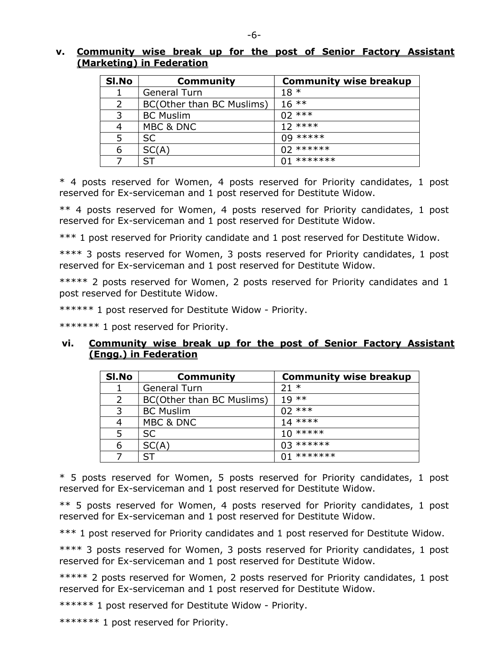## v. Community wise break up for the post of Senior Factory Assistant (Marketing) in Federation

| SI.No | Community                 | <b>Community wise breakup</b> |
|-------|---------------------------|-------------------------------|
|       | General Turn              | $18*$                         |
| 2     | BC(Other than BC Muslims) | $16***$                       |
| 3     | <b>BC Muslim</b>          | $02***$                       |
| 4     | MBC & DNC                 | $12***$                       |
| 5     | <b>SC</b>                 | $09****$                      |
| 6     | SC(A)                     | $02$ ******                   |
|       | ST                        | *******                       |

\* 4 posts reserved for Women, 4 posts reserved for Priority candidates, 1 post reserved for Ex-serviceman and 1 post reserved for Destitute Widow.

\*\* 4 posts reserved for Women, 4 posts reserved for Priority candidates, 1 post reserved for Ex-serviceman and 1 post reserved for Destitute Widow.

\*\*\* 1 post reserved for Priority candidate and 1 post reserved for Destitute Widow.

\*\*\*\* 3 posts reserved for Women, 3 posts reserved for Priority candidates, 1 post reserved for Ex-serviceman and 1 post reserved for Destitute Widow.

\*\*\*\*\* 2 posts reserved for Women, 2 posts reserved for Priority candidates and 1 post reserved for Destitute Widow.

\*\*\*\*\*\* 1 post reserved for Destitute Widow - Priority.

\*\*\*\*\*\*\* 1 post reserved for Priority.

#### vi. Community wise break up for the post of Senior Factory Assistant (Engg.) in Federation

| SI.No | <b>Community</b>          | <b>Community wise breakup</b> |
|-------|---------------------------|-------------------------------|
|       | <b>General Turn</b>       | $21 *$                        |
| 2     | BC(Other than BC Muslims) | $19**$                        |
|       | <b>BC Muslim</b>          | $02***$                       |
| 4     | MBC & DNC                 | $14***$                       |
| 5     | <b>SC</b>                 | $10*****$                     |
| 6     | SC(A)                     | $03******$                    |
|       |                           | *******                       |

\* 5 posts reserved for Women, 5 posts reserved for Priority candidates, 1 post reserved for Ex-serviceman and 1 post reserved for Destitute Widow.

\*\* 5 posts reserved for Women, 4 posts reserved for Priority candidates, 1 post reserved for Ex-serviceman and 1 post reserved for Destitute Widow.

\*\*\* 1 post reserved for Priority candidates and 1 post reserved for Destitute Widow.

\*\*\*\* 3 posts reserved for Women, 3 posts reserved for Priority candidates, 1 post reserved for Ex-serviceman and 1 post reserved for Destitute Widow.

\*\*\*\*\* 2 posts reserved for Women, 2 posts reserved for Priority candidates, 1 post reserved for Ex-serviceman and 1 post reserved for Destitute Widow.

\*\*\*\*\*\* 1 post reserved for Destitute Widow - Priority.

\*\*\*\*\*\*\* 1 post reserved for Priority.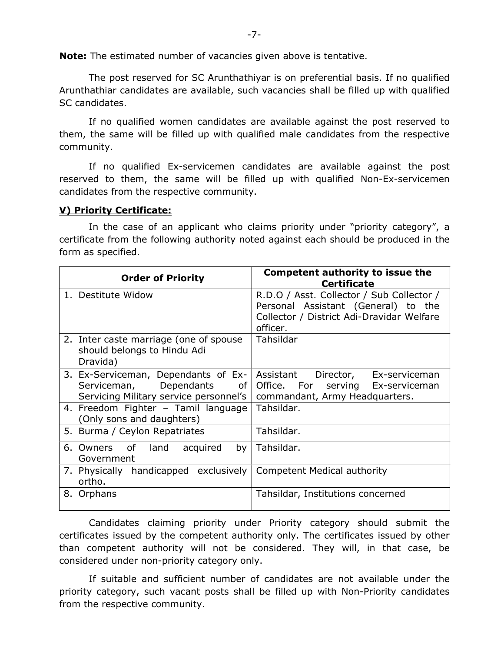Note: The estimated number of vacancies given above is tentative.

The post reserved for SC Arunthathiyar is on preferential basis. If no qualified Arunthathiar candidates are available, such vacancies shall be filled up with qualified SC candidates.

If no qualified women candidates are available against the post reserved to them, the same will be filled up with qualified male candidates from the respective community.

If no qualified Ex-servicemen candidates are available against the post reserved to them, the same will be filled up with qualified Non-Ex-servicemen candidates from the respective community.

## V) Priority Certificate:

In the case of an applicant who claims priority under "priority category", a certificate from the following authority noted against each should be produced in the form as specified.

| <b>Order of Priority</b>                                                                                        | <b>Competent authority to issue the</b><br><b>Certificate</b>                                                                             |
|-----------------------------------------------------------------------------------------------------------------|-------------------------------------------------------------------------------------------------------------------------------------------|
| 1. Destitute Widow                                                                                              | R.D.O / Asst. Collector / Sub Collector /<br>Personal Assistant (General) to the<br>Collector / District Adi-Dravidar Welfare<br>officer. |
| 2. Inter caste marriage (one of spouse<br>should belongs to Hindu Adi<br>Dravida)                               | Tahsildar                                                                                                                                 |
| 3. Ex-Serviceman, Dependants of Ex-<br>Serviceman, Dependants<br>of I<br>Servicing Military service personnel's | Assistant Director,<br>Ex-serviceman<br>Office. For serving Ex-serviceman<br>commandant, Army Headquarters.                               |
| 4. Freedom Fighter - Tamil language<br>(Only sons and daughters)                                                | Tahsildar.                                                                                                                                |
| 5. Burma / Ceylon Repatriates                                                                                   | Tahsildar.                                                                                                                                |
| 6. Owners of<br>land<br>acquired<br>by<br>Government                                                            | Tahsildar.                                                                                                                                |
| 7. Physically handicapped exclusively<br>ortho.                                                                 | <b>Competent Medical authority</b>                                                                                                        |
| 8. Orphans                                                                                                      | Tahsildar, Institutions concerned                                                                                                         |

 Candidates claiming priority under Priority category should submit the certificates issued by the competent authority only. The certificates issued by other than competent authority will not be considered. They will, in that case, be considered under non-priority category only.

 If suitable and sufficient number of candidates are not available under the priority category, such vacant posts shall be filled up with Non-Priority candidates from the respective community.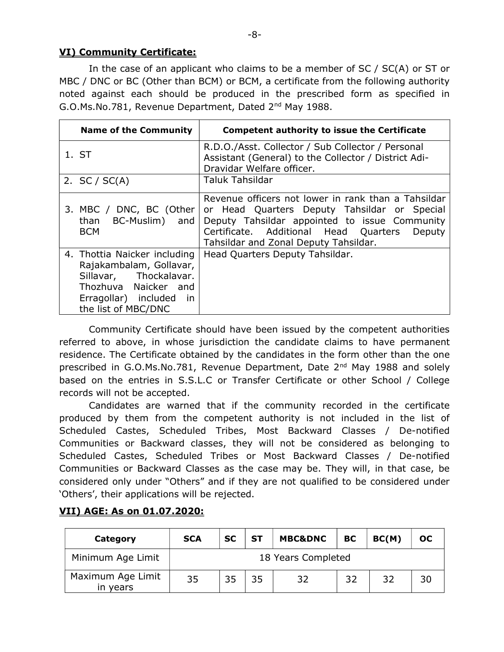## VI) Community Certificate:

In the case of an applicant who claims to be a member of SC / SC(A) or ST or MBC / DNC or BC (Other than BCM) or BCM, a certificate from the following authority noted against each should be produced in the prescribed form as specified in G.O.Ms.No.781, Revenue Department, Dated 2nd May 1988.

| <b>Name of the Community</b>                                                                                                                                | <b>Competent authority to issue the Certificate</b>                                                                                                                                                                                              |  |  |
|-------------------------------------------------------------------------------------------------------------------------------------------------------------|--------------------------------------------------------------------------------------------------------------------------------------------------------------------------------------------------------------------------------------------------|--|--|
| 1. ST                                                                                                                                                       | R.D.O./Asst. Collector / Sub Collector / Personal<br>Assistant (General) to the Collector / District Adi-<br>Dravidar Welfare officer.                                                                                                           |  |  |
| 2. $SC / SC(A)$                                                                                                                                             | <b>Taluk Tahsildar</b>                                                                                                                                                                                                                           |  |  |
| 3. MBC / DNC, BC (Other<br>than $BC$ -Muslim) and<br><b>BCM</b>                                                                                             | Revenue officers not lower in rank than a Tahsildar<br>or Head Quarters Deputy Tahsildar or Special<br>Deputy Tahsildar appointed to issue Community<br>Certificate. Additional Head Quarters<br>Deputy<br>Tahsildar and Zonal Deputy Tahsildar. |  |  |
| 4. Thottia Naicker including<br>Rajakambalam, Gollavar,<br>Sillavar, Thockalavar.<br>Thozhuva Naicker and<br>Erragollar) included in<br>the list of MBC/DNC | Head Quarters Deputy Tahsildar.                                                                                                                                                                                                                  |  |  |

Community Certificate should have been issued by the competent authorities referred to above, in whose jurisdiction the candidate claims to have permanent residence. The Certificate obtained by the candidates in the form other than the one prescribed in G.O.Ms.No.781, Revenue Department, Date 2nd May 1988 and solely based on the entries in S.S.L.C or Transfer Certificate or other School / College records will not be accepted.

 Candidates are warned that if the community recorded in the certificate produced by them from the competent authority is not included in the list of Scheduled Castes, Scheduled Tribes, Most Backward Classes / De-notified Communities or Backward classes, they will not be considered as belonging to Scheduled Castes, Scheduled Tribes or Most Backward Classes / De-notified Communities or Backward Classes as the case may be. They will, in that case, be considered only under "Others" and if they are not qualified to be considered under 'Others', their applications will be rejected.

| Category                      | <b>SCA</b> | <b>SC</b>          | SТ | <b>MBC&amp;DNC</b> | <b>BC</b> | BC(M) | <b>OC</b> |
|-------------------------------|------------|--------------------|----|--------------------|-----------|-------|-----------|
| Minimum Age Limit             |            | 18 Years Completed |    |                    |           |       |           |
| Maximum Age Limit<br>in years | 35         | 35                 | 35 | 32                 | 32        | 32    | 30        |

# VII) AGE: As on 01.07.2020: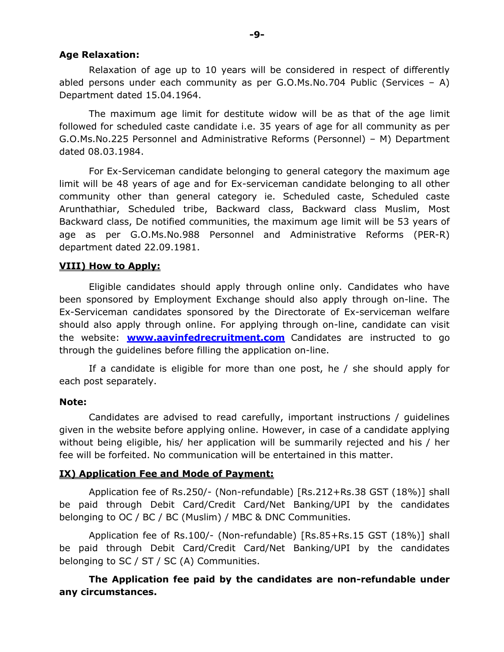#### Age Relaxation:

Relaxation of age up to 10 years will be considered in respect of differently abled persons under each community as per G.O.Ms.No.704 Public (Services – A) Department dated 15.04.1964.

 The maximum age limit for destitute widow will be as that of the age limit followed for scheduled caste candidate i.e. 35 years of age for all community as per G.O.Ms.No.225 Personnel and Administrative Reforms (Personnel) – M) Department dated 08.03.1984.

 For Ex-Serviceman candidate belonging to general category the maximum age limit will be 48 years of age and for Ex-serviceman candidate belonging to all other community other than general category ie. Scheduled caste, Scheduled caste Arunthathiar, Scheduled tribe, Backward class, Backward class Muslim, Most Backward class, De notified communities, the maximum age limit will be 53 years of age as per G.O.Ms.No.988 Personnel and Administrative Reforms (PER-R) department dated 22.09.1981.

#### VIII) How to Apply:

 Eligible candidates should apply through online only. Candidates who have been sponsored by Employment Exchange should also apply through on-line. The Ex-Serviceman candidates sponsored by the Directorate of Ex-serviceman welfare should also apply through online. For applying through on-line, candidate can visit the website: **www.aavinfedrecruitment.com** Candidates are instructed to go through the guidelines before filling the application on-line.

 If a candidate is eligible for more than one post, he / she should apply for each post separately.

#### Note:

 Candidates are advised to read carefully, important instructions / guidelines given in the website before applying online. However, in case of a candidate applying without being eligible, his/ her application will be summarily rejected and his / her fee will be forfeited. No communication will be entertained in this matter.

#### IX) Application Fee and Mode of Payment:

Application fee of Rs.250/- (Non-refundable) [Rs.212+Rs.38 GST (18%)] shall be paid through Debit Card/Credit Card/Net Banking/UPI by the candidates belonging to OC / BC / BC (Muslim) / MBC & DNC Communities.

 Application fee of Rs.100/- (Non-refundable) [Rs.85+Rs.15 GST (18%)] shall be paid through Debit Card/Credit Card/Net Banking/UPI by the candidates belonging to SC / ST / SC (A) Communities.

## The Application fee paid by the candidates are non-refundable under any circumstances.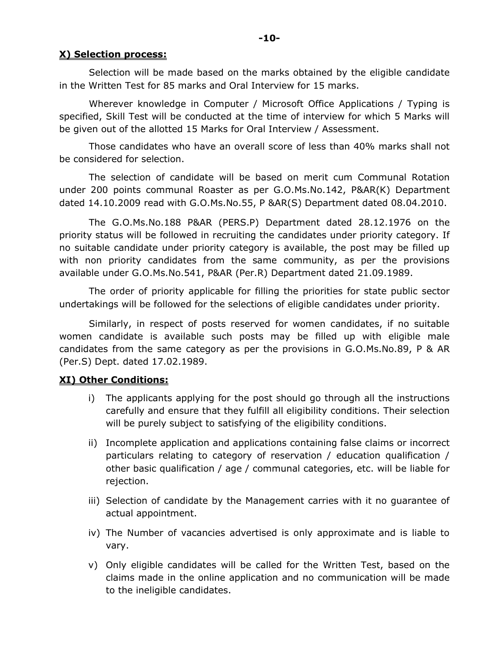## X) Selection process:

Selection will be made based on the marks obtained by the eligible candidate in the Written Test for 85 marks and Oral Interview for 15 marks.

Wherever knowledge in Computer / Microsoft Office Applications / Typing is specified, Skill Test will be conducted at the time of interview for which 5 Marks will be given out of the allotted 15 Marks for Oral Interview / Assessment.

 Those candidates who have an overall score of less than 40% marks shall not be considered for selection.

 The selection of candidate will be based on merit cum Communal Rotation under 200 points communal Roaster as per G.O.Ms.No.142, P&AR(K) Department dated 14.10.2009 read with G.O.Ms.No.55, P &AR(S) Department dated 08.04.2010.

 The G.O.Ms.No.188 P&AR (PERS.P) Department dated 28.12.1976 on the priority status will be followed in recruiting the candidates under priority category. If no suitable candidate under priority category is available, the post may be filled up with non priority candidates from the same community, as per the provisions available under G.O.Ms.No.541, P&AR (Per.R) Department dated 21.09.1989.

 The order of priority applicable for filling the priorities for state public sector undertakings will be followed for the selections of eligible candidates under priority.

 Similarly, in respect of posts reserved for women candidates, if no suitable women candidate is available such posts may be filled up with eligible male candidates from the same category as per the provisions in G.O.Ms.No.89, P & AR (Per.S) Dept. dated 17.02.1989.

## XI) Other Conditions:

- i) The applicants applying for the post should go through all the instructions carefully and ensure that they fulfill all eligibility conditions. Their selection will be purely subject to satisfying of the eligibility conditions.
- ii) Incomplete application and applications containing false claims or incorrect particulars relating to category of reservation / education qualification / other basic qualification / age / communal categories, etc. will be liable for rejection.
- iii) Selection of candidate by the Management carries with it no guarantee of actual appointment.
- iv) The Number of vacancies advertised is only approximate and is liable to vary.
- v) Only eligible candidates will be called for the Written Test, based on the claims made in the online application and no communication will be made to the ineligible candidates.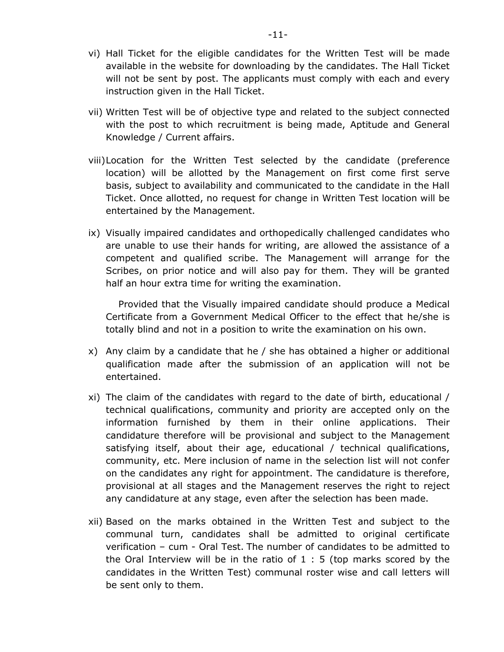- vi) Hall Ticket for the eligible candidates for the Written Test will be made available in the website for downloading by the candidates. The Hall Ticket will not be sent by post. The applicants must comply with each and every instruction given in the Hall Ticket.
- vii) Written Test will be of objective type and related to the subject connected with the post to which recruitment is being made, Aptitude and General Knowledge / Current affairs.
- viii)Location for the Written Test selected by the candidate (preference location) will be allotted by the Management on first come first serve basis, subject to availability and communicated to the candidate in the Hall Ticket. Once allotted, no request for change in Written Test location will be entertained by the Management.
- ix) Visually impaired candidates and orthopedically challenged candidates who are unable to use their hands for writing, are allowed the assistance of a competent and qualified scribe. The Management will arrange for the Scribes, on prior notice and will also pay for them. They will be granted half an hour extra time for writing the examination.

Provided that the Visually impaired candidate should produce a Medical Certificate from a Government Medical Officer to the effect that he/she is totally blind and not in a position to write the examination on his own.

- x) Any claim by a candidate that he / she has obtained a higher or additional qualification made after the submission of an application will not be entertained.
- xi) The claim of the candidates with regard to the date of birth, educational / technical qualifications, community and priority are accepted only on the information furnished by them in their online applications. Their candidature therefore will be provisional and subject to the Management satisfying itself, about their age, educational / technical qualifications, community, etc. Mere inclusion of name in the selection list will not confer on the candidates any right for appointment. The candidature is therefore, provisional at all stages and the Management reserves the right to reject any candidature at any stage, even after the selection has been made.
- xii) Based on the marks obtained in the Written Test and subject to the communal turn, candidates shall be admitted to original certificate verification – cum - Oral Test. The number of candidates to be admitted to the Oral Interview will be in the ratio of 1 : 5 (top marks scored by the candidates in the Written Test) communal roster wise and call letters will be sent only to them.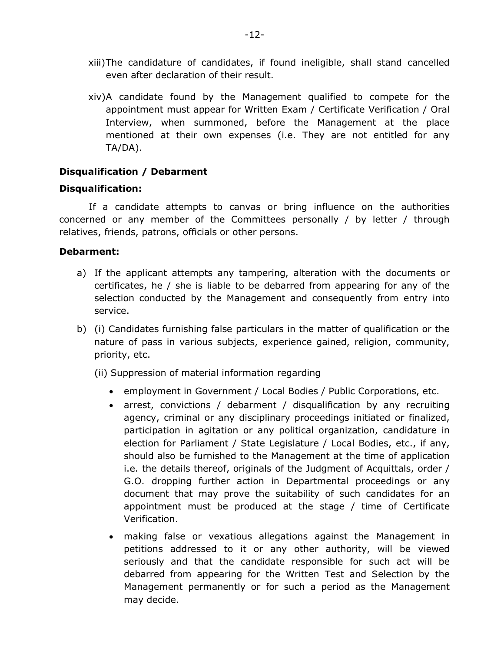- xiii)The candidature of candidates, if found ineligible, shall stand cancelled even after declaration of their result.
- xiv)A candidate found by the Management qualified to compete for the appointment must appear for Written Exam / Certificate Verification / Oral Interview, when summoned, before the Management at the place mentioned at their own expenses (i.e. They are not entitled for any TA/DA).

## Disqualification / Debarment

## Disqualification:

If a candidate attempts to canvas or bring influence on the authorities concerned or any member of the Committees personally / by letter / through relatives, friends, patrons, officials or other persons.

#### Debarment:

- a) If the applicant attempts any tampering, alteration with the documents or certificates, he / she is liable to be debarred from appearing for any of the selection conducted by the Management and consequently from entry into service.
- b) (i) Candidates furnishing false particulars in the matter of qualification or the nature of pass in various subjects, experience gained, religion, community, priority, etc.
	- (ii) Suppression of material information regarding
		- employment in Government / Local Bodies / Public Corporations, etc.
		- arrest, convictions / debarment / disqualification by any recruiting agency, criminal or any disciplinary proceedings initiated or finalized, participation in agitation or any political organization, candidature in election for Parliament / State Legislature / Local Bodies, etc., if any, should also be furnished to the Management at the time of application i.e. the details thereof, originals of the Judgment of Acquittals, order / G.O. dropping further action in Departmental proceedings or any document that may prove the suitability of such candidates for an appointment must be produced at the stage / time of Certificate Verification.
		- making false or vexatious allegations against the Management in petitions addressed to it or any other authority, will be viewed seriously and that the candidate responsible for such act will be debarred from appearing for the Written Test and Selection by the Management permanently or for such a period as the Management may decide.